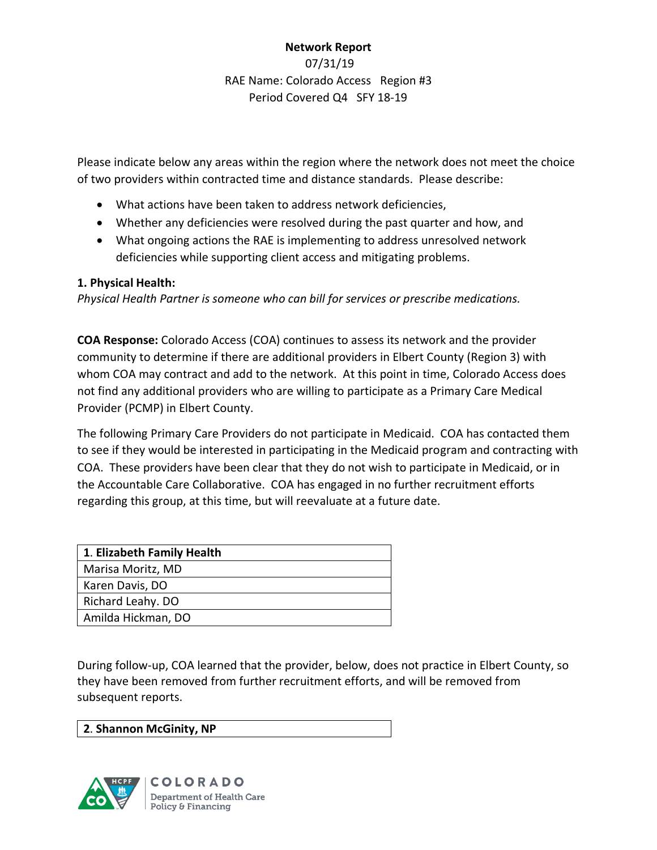# **Network Report** 07/31/19 RAE Name: Colorado Access Region #3 Period Covered Q4 SFY 18-19

Please indicate below any areas within the region where the network does not meet the choice of two providers within contracted time and distance standards. Please describe:

- What actions have been taken to address network deficiencies,
- Whether any deficiencies were resolved during the past quarter and how, and
- What ongoing actions the RAE is implementing to address unresolved network deficiencies while supporting client access and mitigating problems.

## **1. Physical Health:**

*Physical Health Partner is someone who can bill for services or prescribe medications.*

**COA Response:** Colorado Access (COA) continues to assess its network and the provider community to determine if there are additional providers in Elbert County (Region 3) with whom COA may contract and add to the network. At this point in time, Colorado Access does not find any additional providers who are willing to participate as a Primary Care Medical Provider (PCMP) in Elbert County.

The following Primary Care Providers do not participate in Medicaid. COA has contacted them to see if they would be interested in participating in the Medicaid program and contracting with COA. These providers have been clear that they do not wish to participate in Medicaid, or in the Accountable Care Collaborative. COA has engaged in no further recruitment efforts regarding this group, at this time, but will reevaluate at a future date.

| 1. Elizabeth Family Health |
|----------------------------|
| Marisa Moritz, MD          |
| Karen Davis, DO            |
| Richard Leahy. DO          |
| Amilda Hickman, DO         |

During follow-up, COA learned that the provider, below, does not practice in Elbert County, so they have been removed from further recruitment efforts, and will be removed from subsequent reports.

## **2**. **Shannon McGinity, NP**



**COLORADO** Department of Health Care Policy & Financing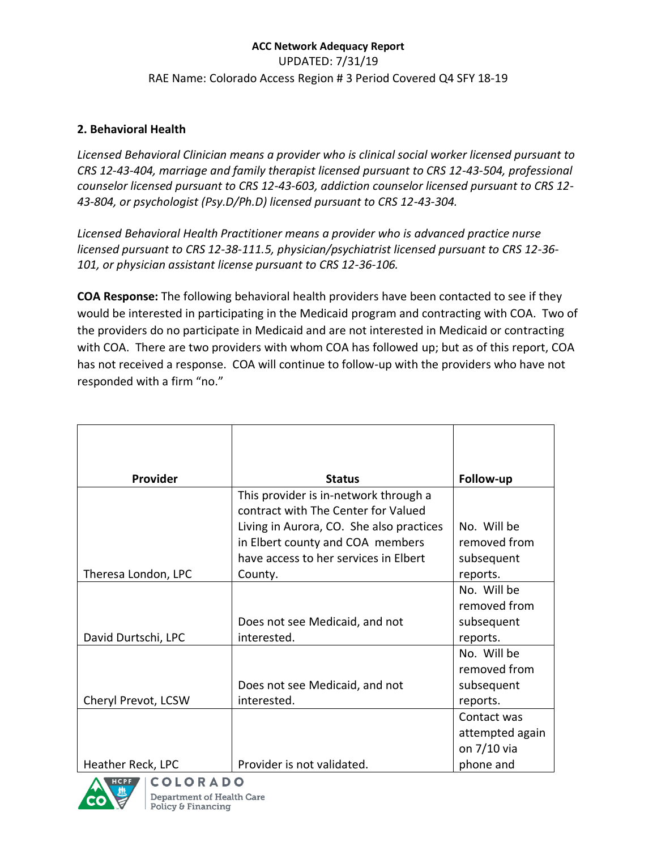# **ACC Network Adequacy Report**  UPDATED: 7/31/19 RAE Name: Colorado Access Region # 3 Period Covered Q4 SFY 18-19

## **2. Behavioral Health**

*Licensed Behavioral Clinician means a provider who is clinical social worker licensed pursuant to CRS 12-43-404, marriage and family therapist licensed pursuant to CRS 12-43-504, professional counselor licensed pursuant to CRS 12-43-603, addiction counselor licensed pursuant to CRS 12- 43-804, or psychologist (Psy.D/Ph.D) licensed pursuant to CRS 12-43-304.*

*Licensed Behavioral Health Practitioner means a provider who is advanced practice nurse licensed pursuant to CRS 12-38-111.5, physician/psychiatrist licensed pursuant to CRS 12-36- 101, or physician assistant license pursuant to CRS 12-36-106.*

**COA Response:** The following behavioral health providers have been contacted to see if they would be interested in participating in the Medicaid program and contracting with COA. Two of the providers do no participate in Medicaid and are not interested in Medicaid or contracting with COA. There are two providers with whom COA has followed up; but as of this report, COA has not received a response. COA will continue to follow-up with the providers who have not responded with a firm "no."

| Provider            | <b>Status</b>                                                                | Follow-up       |
|---------------------|------------------------------------------------------------------------------|-----------------|
|                     | This provider is in-network through a<br>contract with The Center for Valued |                 |
|                     | Living in Aurora, CO. She also practices                                     | No. Will be     |
|                     | in Elbert county and COA members                                             | removed from    |
|                     | have access to her services in Elbert                                        | subsequent      |
| Theresa London, LPC | County.                                                                      | reports.        |
|                     |                                                                              | No. Will be     |
|                     |                                                                              | removed from    |
|                     | Does not see Medicaid, and not                                               | subsequent      |
| David Durtschi, LPC | interested.                                                                  | reports.        |
|                     |                                                                              | No. Will be     |
|                     |                                                                              | removed from    |
|                     | Does not see Medicaid, and not                                               | subsequent      |
| Cheryl Prevot, LCSW | interested.                                                                  | reports.        |
|                     |                                                                              | Contact was     |
|                     |                                                                              | attempted again |
|                     |                                                                              | on 7/10 via     |
| Heather Reck, LPC   | Provider is not validated.                                                   | phone and       |

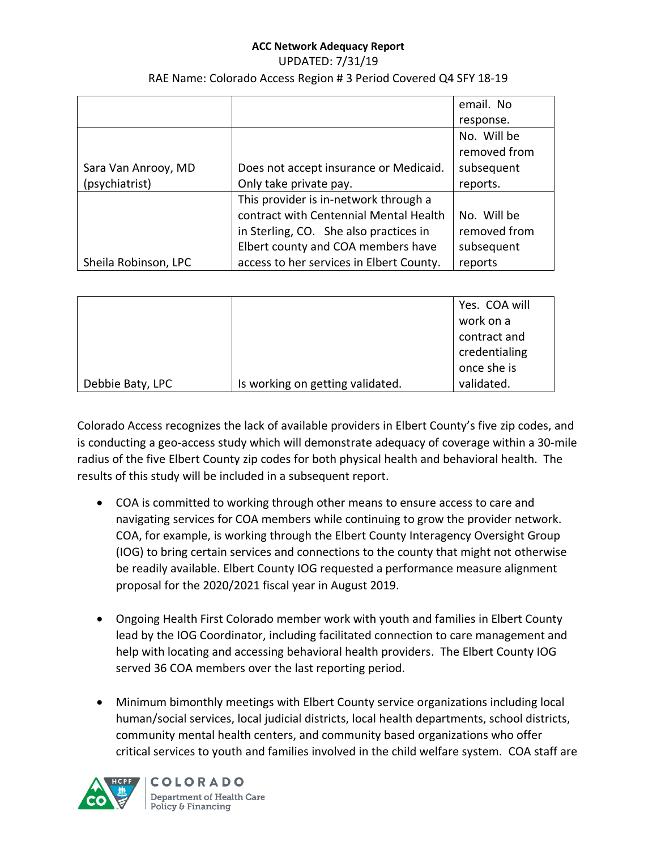#### UPDATED: 7/31/19 RAE Name: Colorado Access Region # 3 Period Covered Q4 SFY 18-19

|                      |                                          | email. No    |
|----------------------|------------------------------------------|--------------|
|                      |                                          | response.    |
|                      |                                          | No. Will be  |
|                      |                                          | removed from |
| Sara Van Anrooy, MD  | Does not accept insurance or Medicaid.   | subsequent   |
| (psychiatrist)       | Only take private pay.                   | reports.     |
|                      | This provider is in-network through a    |              |
|                      | contract with Centennial Mental Health   | No. Will be  |
|                      | in Sterling, CO. She also practices in   | removed from |
|                      | Elbert county and COA members have       | subsequent   |
| Sheila Robinson, LPC | access to her services in Elbert County. | reports      |

|                  |                                  | Yes. COA will |
|------------------|----------------------------------|---------------|
|                  |                                  | work on a     |
|                  |                                  | contract and  |
|                  |                                  | credentialing |
|                  |                                  | once she is   |
| Debbie Baty, LPC | Is working on getting validated. | validated.    |

Colorado Access recognizes the lack of available providers in Elbert County's five zip codes, and is conducting a geo-access study which will demonstrate adequacy of coverage within a 30-mile radius of the five Elbert County zip codes for both physical health and behavioral health. The results of this study will be included in a subsequent report.

- COA is committed to working through other means to ensure access to care and navigating services for COA members while continuing to grow the provider network. COA, for example, is working through the Elbert County Interagency Oversight Group (IOG) to bring certain services and connections to the county that might not otherwise be readily available. Elbert County IOG requested a performance measure alignment proposal for the 2020/2021 fiscal year in August 2019.
- Ongoing Health First Colorado member work with youth and families in Elbert County lead by the IOG Coordinator, including facilitated connection to care management and help with locating and accessing behavioral health providers. The Elbert County IOG served 36 COA members over the last reporting period.
- Minimum bimonthly meetings with Elbert County service organizations including local human/social services, local judicial districts, local health departments, school districts, community mental health centers, and community based organizations who offer critical services to youth and families involved in the child welfare system. COA staff are



**COLORADO** Department of Health Care Policy & Financing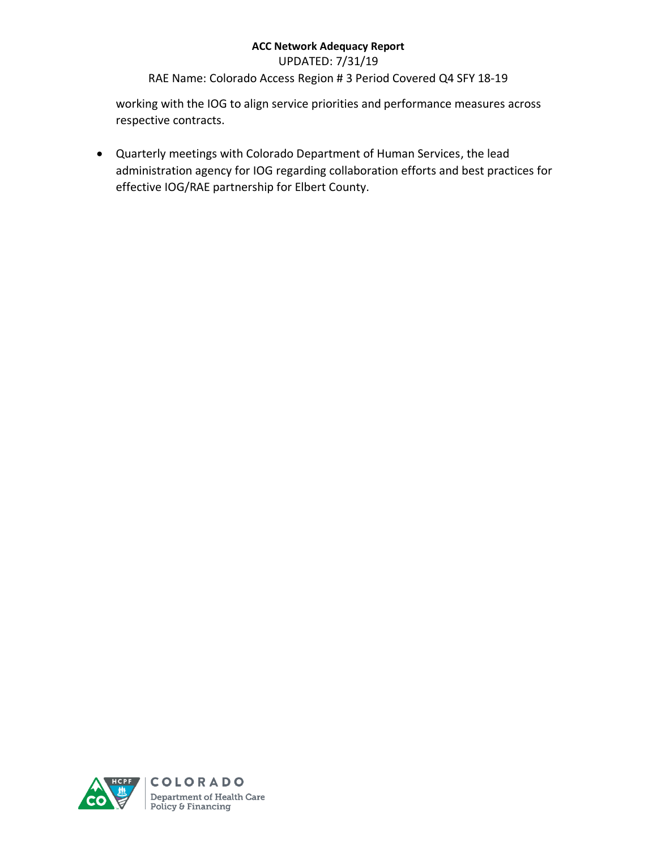UPDATED: 7/31/19

RAE Name: Colorado Access Region # 3 Period Covered Q4 SFY 18-19

working with the IOG to align service priorities and performance measures across respective contracts.

• Quarterly meetings with Colorado Department of Human Services, the lead administration agency for IOG regarding collaboration efforts and best practices for effective IOG/RAE partnership for Elbert County.

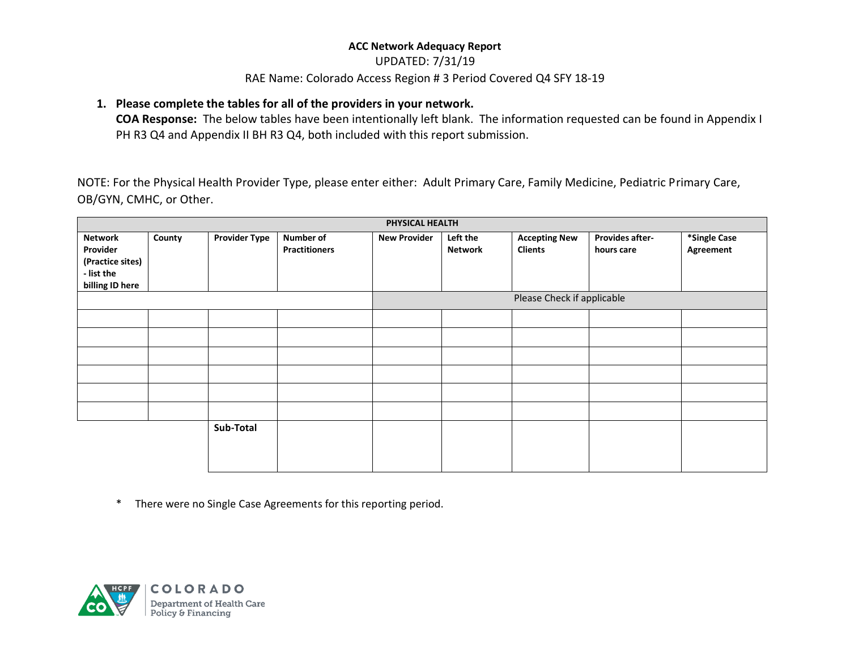### UPDATED: 7/31/19

### RAE Name: Colorado Access Region # 3 Period Covered Q4 SFY 18-19

## **1. Please complete the tables for all of the providers in your network.**

**COA Response:** The below tables have been intentionally left blank. The information requested can be found in Appendix I PH R3 Q4 and Appendix II BH R3 Q4, both included with this report submission.

NOTE: For the Physical Health Provider Type, please enter either: Adult Primary Care, Family Medicine, Pediatric Primary Care, OB/GYN, CMHC, or Other.

|                                                                                 | PHYSICAL HEALTH |                      |                                   |                     |                            |                                        |                                      |                           |
|---------------------------------------------------------------------------------|-----------------|----------------------|-----------------------------------|---------------------|----------------------------|----------------------------------------|--------------------------------------|---------------------------|
| <b>Network</b><br>Provider<br>(Practice sites)<br>- list the<br>billing ID here | County          | <b>Provider Type</b> | Number of<br><b>Practitioners</b> | <b>New Provider</b> | Left the<br><b>Network</b> | <b>Accepting New</b><br><b>Clients</b> | <b>Provides after-</b><br>hours care | *Single Case<br>Agreement |
|                                                                                 |                 |                      |                                   |                     |                            | Please Check if applicable             |                                      |                           |
|                                                                                 |                 |                      |                                   |                     |                            |                                        |                                      |                           |
|                                                                                 |                 |                      |                                   |                     |                            |                                        |                                      |                           |
|                                                                                 |                 |                      |                                   |                     |                            |                                        |                                      |                           |
|                                                                                 |                 |                      |                                   |                     |                            |                                        |                                      |                           |
|                                                                                 |                 |                      |                                   |                     |                            |                                        |                                      |                           |
|                                                                                 |                 |                      |                                   |                     |                            |                                        |                                      |                           |
|                                                                                 |                 | Sub-Total            |                                   |                     |                            |                                        |                                      |                           |

\* There were no Single Case Agreements for this reporting period.

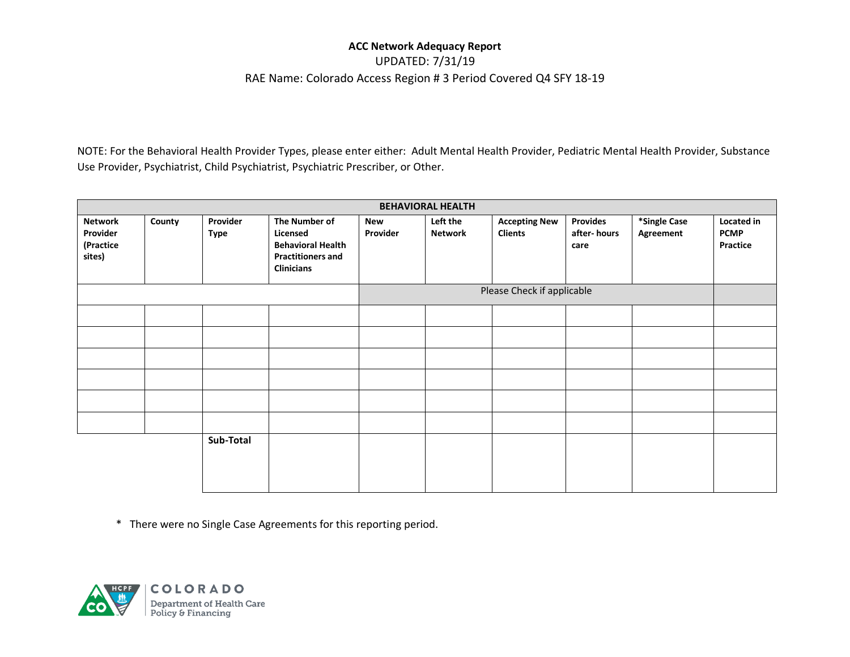## UPDATED: 7/31/19 RAE Name: Colorado Access Region # 3 Period Covered Q4 SFY 18-19

NOTE: For the Behavioral Health Provider Types, please enter either: Adult Mental Health Provider, Pediatric Mental Health Provider, Substance Use Provider, Psychiatrist, Child Psychiatrist, Psychiatric Prescriber, or Other.

| <b>BEHAVIORAL HEALTH</b>                          |        |                         |                                                                                                        |                 |                            |                                        |                                        |                           |                                       |
|---------------------------------------------------|--------|-------------------------|--------------------------------------------------------------------------------------------------------|-----------------|----------------------------|----------------------------------------|----------------------------------------|---------------------------|---------------------------------------|
| <b>Network</b><br>Provider<br>(Practice<br>sites) | County | Provider<br><b>Type</b> | The Number of<br>Licensed<br><b>Behavioral Health</b><br><b>Practitioners and</b><br><b>Clinicians</b> | New<br>Provider | Left the<br><b>Network</b> | <b>Accepting New</b><br><b>Clients</b> | <b>Provides</b><br>after-hours<br>care | *Single Case<br>Agreement | Located in<br><b>PCMP</b><br>Practice |
|                                                   |        |                         |                                                                                                        |                 |                            | Please Check if applicable             |                                        |                           |                                       |
|                                                   |        |                         |                                                                                                        |                 |                            |                                        |                                        |                           |                                       |
|                                                   |        |                         |                                                                                                        |                 |                            |                                        |                                        |                           |                                       |
|                                                   |        |                         |                                                                                                        |                 |                            |                                        |                                        |                           |                                       |
|                                                   |        |                         |                                                                                                        |                 |                            |                                        |                                        |                           |                                       |
|                                                   |        |                         |                                                                                                        |                 |                            |                                        |                                        |                           |                                       |
|                                                   |        |                         |                                                                                                        |                 |                            |                                        |                                        |                           |                                       |
|                                                   |        | Sub-Total               |                                                                                                        |                 |                            |                                        |                                        |                           |                                       |

\* There were no Single Case Agreements for this reporting period.

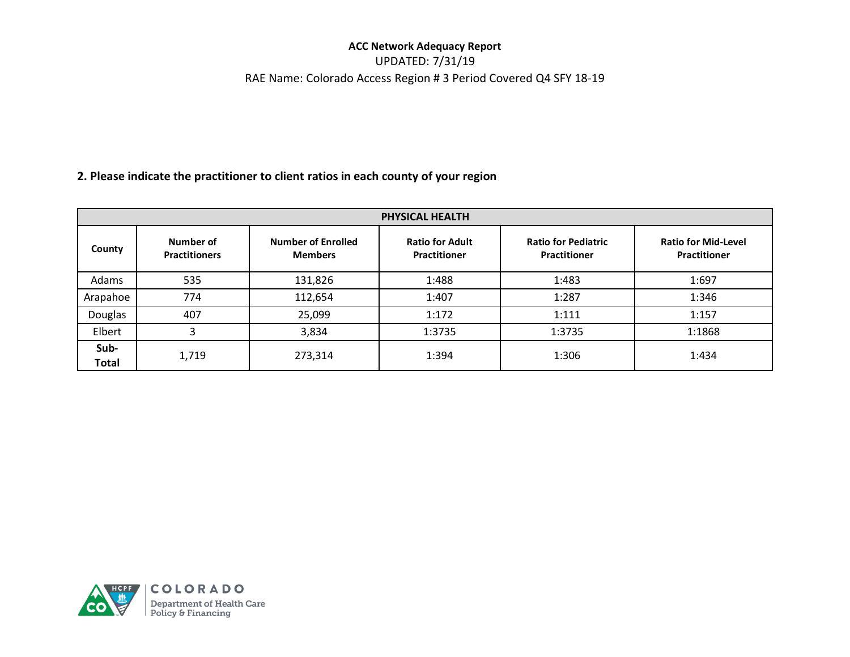UPDATED: 7/31/19 RAE Name: Colorado Access Region # 3 Period Covered Q4 SFY 18-19

# **2. Please indicate the practitioner to client ratios in each county of your region**

| <b>PHYSICAL HEALTH</b> |                                   |                                             |                                               |                                                   |                                            |  |  |
|------------------------|-----------------------------------|---------------------------------------------|-----------------------------------------------|---------------------------------------------------|--------------------------------------------|--|--|
| County                 | Number of<br><b>Practitioners</b> | <b>Number of Enrolled</b><br><b>Members</b> | <b>Ratio for Adult</b><br><b>Practitioner</b> | <b>Ratio for Pediatric</b><br><b>Practitioner</b> | <b>Ratio for Mid-Level</b><br>Practitioner |  |  |
| Adams                  | 535                               | 131,826                                     | 1:488                                         | 1:483                                             | 1:697                                      |  |  |
| Arapahoe               | 774                               | 112,654                                     | 1:407                                         | 1:287                                             | 1:346                                      |  |  |
| Douglas                | 407                               | 25,099                                      | 1:172                                         | 1:111                                             | 1:157                                      |  |  |
| Elbert                 | 3                                 | 3,834                                       | 1:3735                                        | 1:3735                                            | 1:1868                                     |  |  |
| Sub-<br>Total          | 1,719                             | 273,314                                     | 1:394                                         | 1:306                                             | 1:434                                      |  |  |